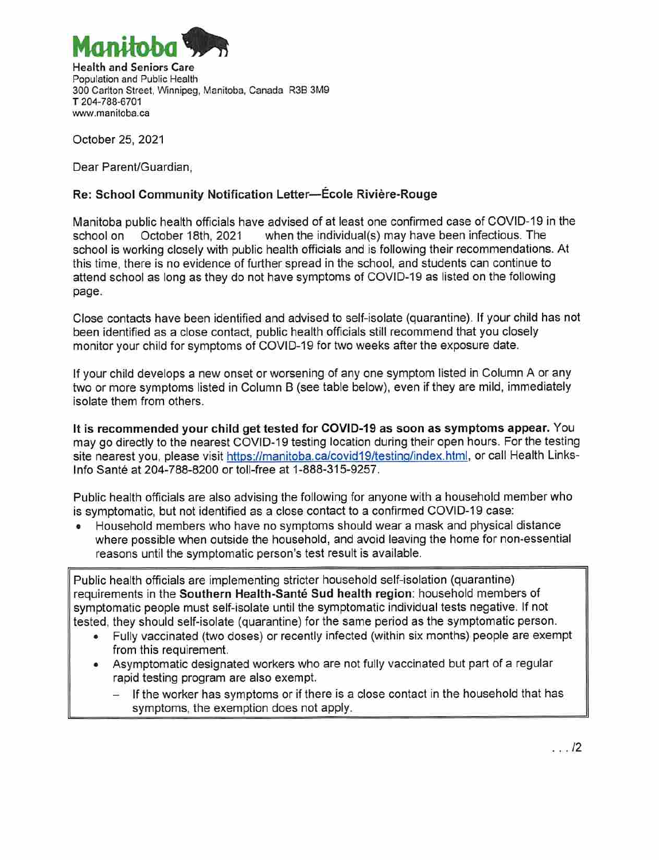

October 25, 2021

Dear Parent/Guardian,

## Re: School Community Notification Letter—Ecole Riviere-Rouge

Manitoba public health officials have advised of at least one confirmed case of COVID-19 in the school on October 18th, 2021 when the individual(s) may have been infectious. The school on October 18th, 2021 when the individua[(s) may have been infectious. The school is working closely with public health officials and is following their recommendations. At this time, there is no evidence of further spread in the school, and students can continue to attend school as long as they do not have symptoms of COVID-19 as listed on the following page.

Close contacts have been identified and advised to self-isolate (quarantine). Ifyour child has not been identified as a close contact, public health officials still recommend that you closely monitor your child for symptoms of COVID-19 for two weeks after the exposure date.

If your child develops a new onset or worsening of any one symptom listed in Column A or any two or more symptoms listed in Column B (see table below), even if they are mild, immediately isolate them from others.

It is recommended your child get tested for COVID-19 as soon as symptoms appear. You may go directly to the nearest COVID-19 testing location during their open hours. For the testing site nearest you, please visit https://manitoba.ca/covid19/testing/index.html. or call Health Links-Info Sante at 204-788-8200 or toll-free at 1-888-315-9257,

Public health officials are also advising the following for anyone with a household member who is symptomatic, but not identified as a close contact to a confirmed COVID-19 case:

• Household members who have no symptoms should wear a mask and physical distance where possible when outside the household, and avoid leaving the home for non-essential reasons until the symptomatic person's test result is available.

Public health officials are implementing stricter household self-isolation (quarantine) requirements in the Southern Health-Sante Sud health region: household members of symptomatic people must self-isolate until the symptomatic individual tests negative. If not tested, they should self-isolate (quarantine) for the same period as the symptomatic person.

- Fully vaccinated (two doses) or recently infected (within six months) people are exempt from this requirement.
- Asymptomatic designated workers who are not fully vaccinated but part of a regular rapid testing program are also exempt.
	- $-$  If the worker has symptoms or if there is a close contact in the household that has symptoms, the exemption does not apply.